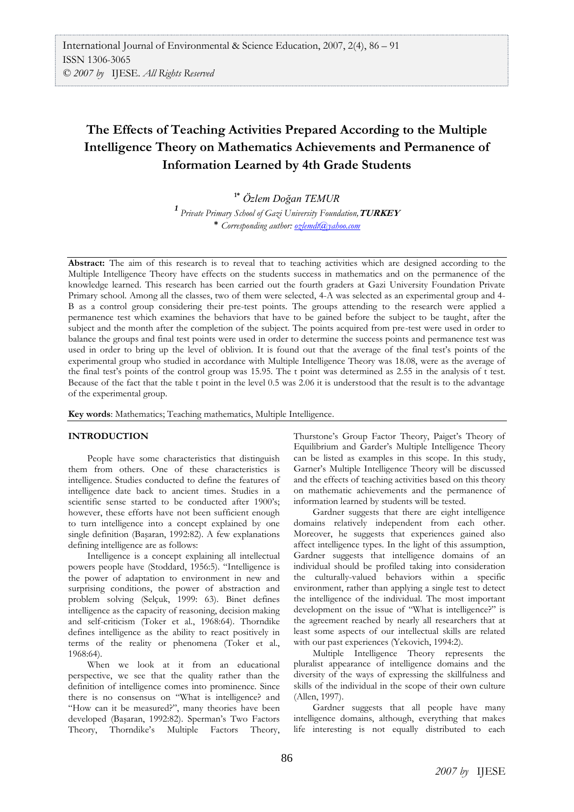# **The Effects of Teaching Activities Prepared According to the Multiple Intelligence Theory on Mathematics Achievements and Permanence of Information Learned by 4th Grade Students**

**1\*** *Özlem Doğan TEMUR <sup>1</sup>Private Primary School of Gazi University Foundation,***TURKEY** \* *Corresponding author: [ozlemdt@yahoo.com](mailto:ozlemdt@yahoo.com)*

**Abstract:** The aim of this research is to reveal that to teaching activities which are designed according to the Multiple Intelligence Theory have effects on the students success in mathematics and on the permanence of the knowledge learned. This research has been carried out the fourth graders at Gazi University Foundation Private Primary school. Among all the classes, two of them were selected, 4-A was selected as an experimental group and 4-B as a control group considering their pre-test points. The groups attending to the research were applied a permanence test which examines the behaviors that have to be gained before the subject to be taught, after the subject and the month after the completion of the subject. The points acquired from pre-test were used in order to balance the groups and final test points were used in order to determine the success points and permanence test was used in order to bring up the level of oblivion. It is found out that the average of the final test's points of the experimental group who studied in accordance with Multiple Intelligence Theory was 18.08, were as the average of the final test's points of the control group was 15.95. The t point was determined as 2.55 in the analysis of t test. Because of the fact that the table t point in the level 0.5 was 2.06 it is understood that the result is to the advantage of the experimental group.

**Key words**: Mathematics; Teaching mathematics, Multiple Intelligence.

#### **INTRODUCTION**

People have some characteristics that distinguish them from others. One of these characteristics is intelligence. Studies conducted to define the features of intelligence date back to ancient times. Studies in a scientific sense started to be conducted after 1900's; however, these efforts have not been sufficient enough to turn intelligence into a concept explained by one single definition (Başaran, 1992:82). A few explanations defining intelligence are as follows:

Intelligence is a concept explaining all intellectual powers people have (Stoddard, 1956:5). "Intelligence is the power of adaptation to environment in new and surprising conditions, the power of abstraction and problem solving (Selçuk, 1999: 63). Binet defines intelligence as the capacity of reasoning, decision making and self-criticism (Toker et al., 1968:64). Thorndike defines intelligence as the ability to react positively in terms of the reality or phenomena (Toker et al., 1968:64).

When we look at it from an educational perspective, we see that the quality rather than the definition of intelligence comes into prominence. Since there is no consensus on "What is intelligence? and "How can it be measured?", many theories have been developed (Başaran, 1992:82). Sperman's Two Factors Theory, Thorndike's Multiple Factors Theory, Thurstone's Group Factor Theory, Paiget's Theory of Equilibrium and Garder's Multiple Intelligence Theory can be listed as examples in this scope. In this study, Garner's Multiple Intelligence Theory will be discussed and the effects of teaching activities based on this theory on mathematic achievements and the permanence of information learned by students will be tested.

Gardner suggests that there are eight intelligence domains relatively independent from each other. Moreover, he suggests that experiences gained also affect intelligence types. In the light of this assumption, Gardner suggests that intelligence domains of an individual should be profiled taking into consideration the culturally-valued behaviors within a specific environment, rather than applying a single test to detect the intelligence of the individual. The most important development on the issue of "What is intelligence?" is the agreement reached by nearly all researchers that at least some aspects of our intellectual skills are related with our past experiences (Yekovich, 1994:2).

Multiple Intelligence Theory represents the pluralist appearance of intelligence domains and the diversity of the ways of expressing the skillfulness and skills of the individual in the scope of their own culture (Allen, 1997).

Gardner suggests that all people have many intelligence domains, although, everything that makes life interesting is not equally distributed to each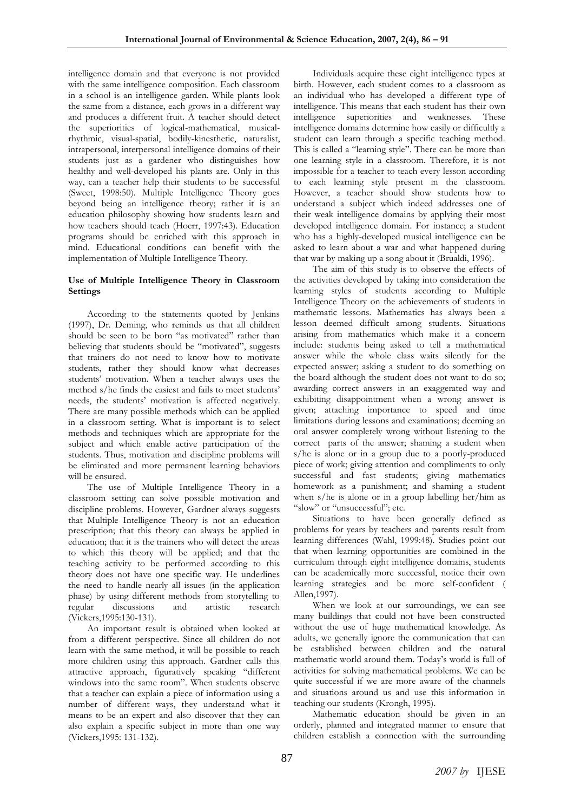intelligence domain and that everyone is not provided with the same intelligence composition. Each classroom in a school is an intelligence garden. While plants look the same from a distance, each grows in a different way and produces a different fruit. A teacher should detect the superiorities of logical-mathematical, musicalrhythmic, visual-spatial, bodily-kinesthetic, naturalist, intrapersonal, interpersonal intelligence domains of their students just as a gardener who distinguishes how healthy and well-developed his plants are. Only in this way, can a teacher help their students to be successful (Sweet, 1998:50). Multiple Intelligence Theory goes beyond being an intelligence theory; rather it is an education philosophy showing how students learn and how teachers should teach (Hoerr, 1997:43). Education programs should be enriched with this approach in mind. Educational conditions can benefit with the implementation of Multiple Intelligence Theory.

#### **Use of Multiple Intelligence Theory in Classroom Settings**

According to the statements quoted by Jenkins (1997), Dr. Deming, who reminds us that all children should be seen to be born "as motivated" rather than believing that students should be "motivated", suggests that trainers do not need to know how to motivate students, rather they should know what decreases students' motivation. When a teacher always uses the method s/he finds the easiest and fails to meet students' needs, the students' motivation is affected negatively. There are many possible methods which can be applied in a classroom setting. What is important is to select methods and techniques which are appropriate for the subject and which enable active participation of the students. Thus, motivation and discipline problems will be eliminated and more permanent learning behaviors will be ensured.

The use of Multiple Intelligence Theory in a classroom setting can solve possible motivation and discipline problems. However, Gardner always suggests that Multiple Intelligence Theory is not an education prescription; that this theory can always be applied in education; that it is the trainers who will detect the areas to which this theory will be applied; and that the teaching activity to be performed according to this theory does not have one specific way. He underlines the need to handle nearly all issues (in the application phase) by using different methods from storytelling to regular discussions and artistic research (Vickers,1995:130-131).

An important result is obtained when looked at from a different perspective. Since all children do not learn with the same method, it will be possible to reach more children using this approach. Gardner calls this attractive approach, figuratively speaking "different windows into the same room". When students observe that a teacher can explain a piece of information using a number of different ways, they understand what it means to be an expert and also discover that they can also explain a specific subject in more than one way (Vickers,1995: 131-132).

Individuals acquire these eight intelligence types at birth. However, each student comes to a classroom as an individual who has developed a different type of intelligence. This means that each student has their own intelligence superiorities and weaknesses. These intelligence domains determine how easily or difficultly a student can learn through a specific teaching method. This is called a "learning style". There can be more than one learning style in a classroom. Therefore, it is not impossible for a teacher to teach every lesson according to each learning style present in the classroom. However, a teacher should show students how to understand a subject which indeed addresses one of their weak intelligence domains by applying their most developed intelligence domain. For instance; a student who has a highly-developed musical intelligence can be asked to learn about a war and what happened during that war by making up a song about it (Brualdi, 1996).

The aim of this study is to observe the effects of the activities developed by taking into consideration the learning styles of students according to Multiple Intelligence Theory on the achievements of students in mathematic lessons. Mathematics has always been a lesson deemed difficult among students. Situations arising from mathematics which make it a concern include: students being asked to tell a mathematical answer while the whole class waits silently for the expected answer; asking a student to do something on the board although the student does not want to do so; awarding correct answers in an exaggerated way and exhibiting disappointment when a wrong answer is given; attaching importance to speed and time limitations during lessons and examinations; deeming an oral answer completely wrong without listening to the correct parts of the answer; shaming a student when s/he is alone or in a group due to a poorly-produced piece of work; giving attention and compliments to only successful and fast students; giving mathematics homework as a punishment; and shaming a student when s/he is alone or in a group labelling her/him as "slow" or "unsuccessful"; etc.

Situations to have been generally defined as problems for years by teachers and parents result from learning differences (Wahl, 1999:48). Studies point out that when learning opportunities are combined in the curriculum through eight intelligence domains, students can be academically more successful, notice their own learning strategies and be more self-confident ( Allen,1997).

When we look at our surroundings, we can see many buildings that could not have been constructed without the use of huge mathematical knowledge. As adults, we generally ignore the communication that can be established between children and the natural mathematic world around them. Today's world is full of activities for solving mathematical problems. We can be quite successful if we are more aware of the channels and situations around us and use this information in teaching our students (Krongh, 1995).

Mathematic education should be given in an orderly, planned and integrated manner to ensure that children establish a connection with the surrounding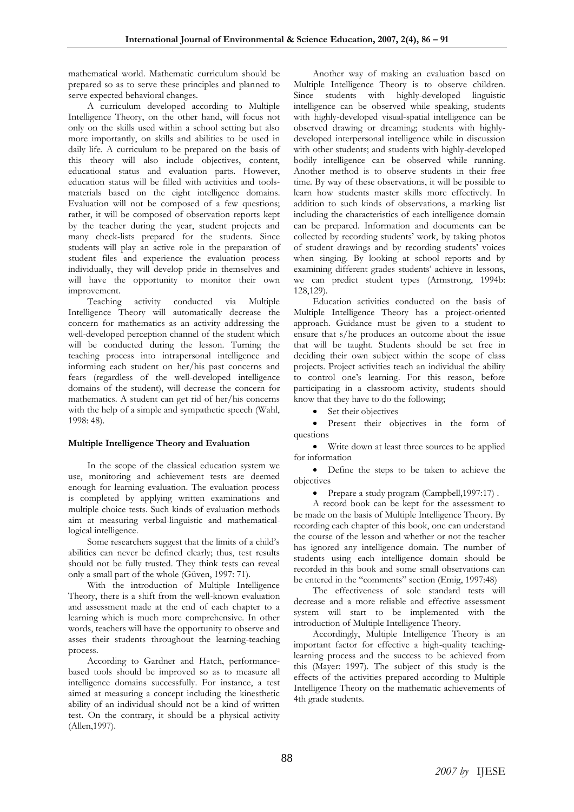mathematical world. Mathematic curriculum should be prepared so as to serve these principles and planned to serve expected behavioral changes.

A curriculum developed according to Multiple Intelligence Theory, on the other hand, will focus not only on the skills used within a school setting but also more importantly, on skills and abilities to be used in daily life. A curriculum to be prepared on the basis of this theory will also include objectives, content, educational status and evaluation parts. However, education status will be filled with activities and toolsmaterials based on the eight intelligence domains. Evaluation will not be composed of a few questions; rather, it will be composed of observation reports kept by the teacher during the year, student projects and many check-lists prepared for the students. Since students will play an active role in the preparation of student files and experience the evaluation process individually, they will develop pride in themselves and will have the opportunity to monitor their own improvement.

Teaching activity conducted via Multiple Intelligence Theory will automatically decrease the concern for mathematics as an activity addressing the well-developed perception channel of the student which will be conducted during the lesson. Turning the teaching process into intrapersonal intelligence and informing each student on her/his past concerns and fears (regardless of the well-developed intelligence domains of the student), will decrease the concern for mathematics. A student can get rid of her/his concerns with the help of a simple and sympathetic speech (Wahl, 1998: 48).

### **Multiple Intelligence Theory and Evaluation**

In the scope of the classical education system we use, monitoring and achievement tests are deemed enough for learning evaluation. The evaluation process is completed by applying written examinations and multiple choice tests. Such kinds of evaluation methods aim at measuring verbal-linguistic and mathematicallogical intelligence.

Some researchers suggest that the limits of a child's abilities can never be defined clearly; thus, test results should not be fully trusted. They think tests can reveal only a small part of the whole (Güven, 1997: 71).

With the introduction of Multiple Intelligence Theory, there is a shift from the well-known evaluation and assessment made at the end of each chapter to a learning which is much more comprehensive. In other words, teachers will have the opportunity to observe and asses their students throughout the learning-teaching process.

According to Gardner and Hatch, performancebased tools should be improved so as to measure all intelligence domains successfully. For instance, a test aimed at measuring a concept including the kinesthetic ability of an individual should not be a kind of written test. On the contrary, it should be a physical activity (Allen,1997).

Another way of making an evaluation based on Multiple Intelligence Theory is to observe children. Since students with highly-developed linguistic intelligence can be observed while speaking, students with highly-developed visual-spatial intelligence can be observed drawing or dreaming; students with highlydeveloped interpersonal intelligence while in discussion with other students; and students with highly-developed bodily intelligence can be observed while running. Another method is to observe students in their free time. By way of these observations, it will be possible to learn how students master skills more effectively. In addition to such kinds of observations, a marking list including the characteristics of each intelligence domain can be prepared. Information and documents can be collected by recording students' work, by taking photos of student drawings and by recording students' voices when singing. By looking at school reports and by examining different grades students' achieve in lessons, we can predict student types (Armstrong, 1994b: 128,129).

Education activities conducted on the basis of Multiple Intelligence Theory has a project-oriented approach. Guidance must be given to a student to ensure that s/he produces an outcome about the issue that will be taught. Students should be set free in deciding their own subject within the scope of class projects. Project activities teach an individual the ability to control one's learning. For this reason, before participating in a classroom activity, students should know that they have to do the following;

• Set their objectives

 Present their objectives in the form of questions

 Write down at least three sources to be applied for information

 Define the steps to be taken to achieve the objectives

Prepare a study program (Campbell,1997:17) .

A record book can be kept for the assessment to be made on the basis of Multiple Intelligence Theory. By recording each chapter of this book, one can understand the course of the lesson and whether or not the teacher has ignored any intelligence domain. The number of students using each intelligence domain should be recorded in this book and some small observations can be entered in the "comments" section (Emig, 1997:48)

The effectiveness of sole standard tests will decrease and a more reliable and effective assessment system will start to be implemented with the introduction of Multiple Intelligence Theory.

Accordingly, Multiple Intelligence Theory is an important factor for effective a high-quality teachinglearning process and the success to be achieved from this (Mayer: 1997). The subject of this study is the effects of the activities prepared according to Multiple Intelligence Theory on the mathematic achievements of 4th grade students.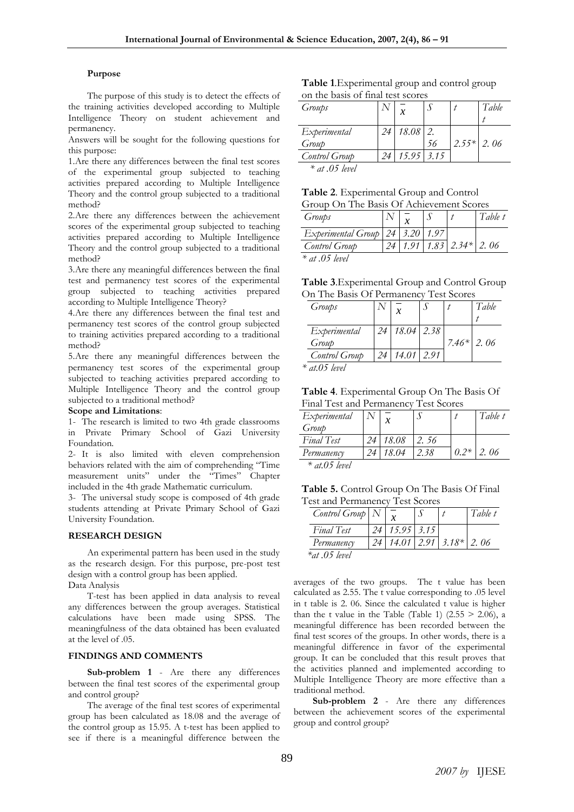#### **Purpose**

The purpose of this study is to detect the effects of the training activities developed according to Multiple Intelligence Theory on student achievement and permanency.

Answers will be sought for the following questions for this purpose:

1.Are there any differences between the final test scores of the experimental group subjected to teaching activities prepared according to Multiple Intelligence Theory and the control group subjected to a traditional method?

2.Are there any differences between the achievement scores of the experimental group subjected to teaching activities prepared according to Multiple Intelligence Theory and the control group subjected to a traditional method?

3.Are there any meaningful differences between the final test and permanency test scores of the experimental group subjected to teaching activities prepared according to Multiple Intelligence Theory?

4.Are there any differences between the final test and permanency test scores of the control group subjected to training activities prepared according to a traditional method?

5.Are there any meaningful differences between the permanency test scores of the experimental group subjected to teaching activities prepared according to Multiple Intelligence Theory and the control group subjected to a traditional method?

#### **Scope and Limitations**:

1- The research is limited to two 4th grade classrooms in Private Primary School of Gazi University Foundation.

2- It is also limited with eleven comprehension behaviors related with the aim of comprehending "Time measurement units" under the "Times" Chapter included in the 4th grade Mathematic curriculum.

3- The universal study scope is composed of 4th grade students attending at Private Primary School of Gazi University Foundation.

#### **RESEARCH DESIGN**

An experimental pattern has been used in the study as the research design. For this purpose, pre-post test design with a control group has been applied.

Data Analysis

T-test has been applied in data analysis to reveal any differences between the group averages. Statistical calculations have been made using SPSS. The meaningfulness of the data obtained has been evaluated at the level of .05.

#### **FINDINGS AND COMMENTS**

**Sub-problem 1** - Are there any differences between the final test scores of the experimental group and control group?

The average of the final test scores of experimental group has been calculated as 18.08 and the average of the control group as 15.95. A t-test has been applied to see if there is a meaningful difference between the

| Table 1. Experimental group and control group |
|-----------------------------------------------|
| on the basis of final test scores             |

| Groups           |    | x          |      |         | Table |
|------------------|----|------------|------|---------|-------|
| Experimental     | 24 | $18.08$ 2. |      |         |       |
| Group            |    |            | 56   | $2.55*$ | 2.06  |
| Control Group    | 24 | 15.95      | 3.15 |         |       |
| $*$ at 0.5 level |    |            |      |         |       |

| Table 2. Experimental Group and Control  |  |
|------------------------------------------|--|
| Group On The Basis Of Achievement Scores |  |

| Groups                         |      |                       | Table t |
|--------------------------------|------|-----------------------|---------|
| Experimental Group   24   3.20 |      |                       |         |
| Control Group                  | 1.91 | $1.83$ $2.34*$ $2.06$ |         |
| $*$ at 0.5 level               |      |                       |         |

**Table 3**.Experimental Group and Control Group On The Basis Of Permanency Test Scores

| Groups        |    |                   |         | Table |
|---------------|----|-------------------|---------|-------|
|               |    |                   |         |       |
| Experimental  | 24 | 18.04 2.38        |         |       |
| Group         |    |                   | $7.46*$ | 2.06  |
| Control Group |    | 24   14.01   2.91 |         |       |
| * at.05 level |    |                   |         |       |

| Table 4. Experimental Group On The Basis Of |  |
|---------------------------------------------|--|
| Final Test and Permanency Test Scores       |  |

| Experimental<br>Group |    |       |      | Table t |
|-----------------------|----|-------|------|---------|
| Final Test            | 24 | 18.08 | 2.56 |         |
| Permanency            |    | 18.04 | 2.38 | 2.06    |
|                       |    |       |      |         |

 *\* at.05 level*

**Table 5.** Control Group On The Basis Of Final Test and Permanency Test Scores

| $Control$ Group $\lfloor N \rfloor$ |  |              |  |                               | Table t |  |  |
|-------------------------------------|--|--------------|--|-------------------------------|---------|--|--|
| Final Test                          |  | $15.95$ 3.15 |  |                               |         |  |  |
| Permanency                          |  |              |  | $14.01$   2.91   3.18*   2.06 |         |  |  |
| $*at.05$ level                      |  |              |  |                               |         |  |  |

averages of the two groups. The t value has been calculated as 2.55. The t value corresponding to .05 level in t table is 2. 06. Since the calculated t value is higher than the t value in the Table (Table 1)  $(2.55 > 2.06)$ , a meaningful difference has been recorded between the final test scores of the groups. In other words, there is a meaningful difference in favor of the experimental group. It can be concluded that this result proves that the activities planned and implemented according to Multiple Intelligence Theory are more effective than a traditional method.

**Sub-problem 2** - Are there any differences between the achievement scores of the experimental group and control group?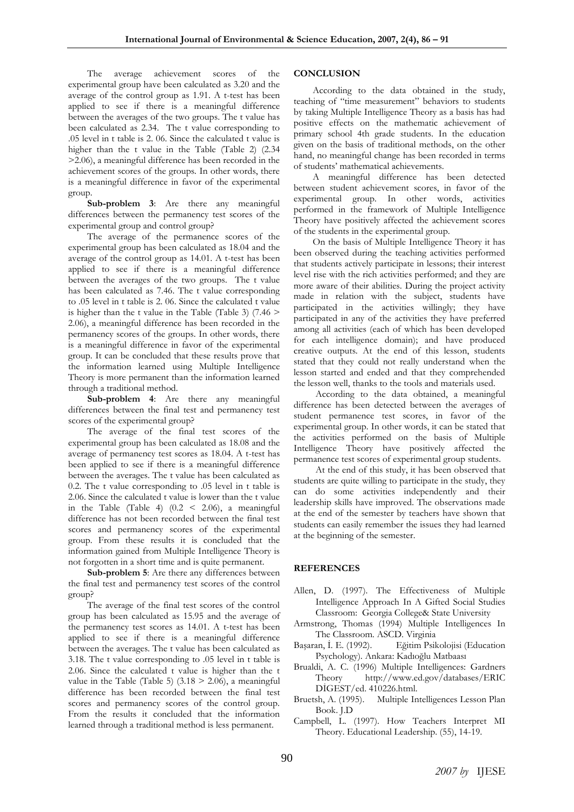The average achievement scores of the experimental group have been calculated as 3.20 and the average of the control group as 1.91. A t-test has been applied to see if there is a meaningful difference between the averages of the two groups. The t value has been calculated as 2.34. The t value corresponding to .05 level in t table is 2. 06. Since the calculated t value is higher than the t value in the Table (Table 2) (2.34 >2.06), a meaningful difference has been recorded in the achievement scores of the groups. In other words, there is a meaningful difference in favor of the experimental group.

**Sub-problem 3**: Are there any meaningful differences between the permanency test scores of the experimental group and control group?

The average of the permanence scores of the experimental group has been calculated as 18.04 and the average of the control group as 14.01. A t-test has been applied to see if there is a meaningful difference between the averages of the two groups. The t value has been calculated as 7.46. The t value corresponding to .05 level in t table is 2. 06. Since the calculated t value is higher than the t value in the Table (Table 3)  $(7.46 >$ 2.06), a meaningful difference has been recorded in the permanency scores of the groups. In other words, there is a meaningful difference in favor of the experimental group. It can be concluded that these results prove that the information learned using Multiple Intelligence Theory is more permanent than the information learned through a traditional method.

**Sub-problem 4**: Are there any meaningful differences between the final test and permanency test scores of the experimental group?

The average of the final test scores of the experimental group has been calculated as 18.08 and the average of permanency test scores as 18.04. A t-test has been applied to see if there is a meaningful difference between the averages. The t value has been calculated as 0.2. The t value corresponding to .05 level in t table is 2.06. Since the calculated t value is lower than the t value in the Table (Table 4)  $(0.2 \le 2.06)$ , a meaningful difference has not been recorded between the final test scores and permanency scores of the experimental group. From these results it is concluded that the information gained from Multiple Intelligence Theory is not forgotten in a short time and is quite permanent.

**Sub-problem 5**: Are there any differences between the final test and permanency test scores of the control group?

The average of the final test scores of the control group has been calculated as 15.95 and the average of the permanency test scores as 14.01. A t-test has been applied to see if there is a meaningful difference between the averages. The t value has been calculated as 3.18. The t value corresponding to .05 level in t table is 2.06. Since the calculated t value is higher than the t value in the Table (Table 5) (3.18  $> 2.06$ ), a meaningful difference has been recorded between the final test scores and permanency scores of the control group. From the results it concluded that the information learned through a traditional method is less permanent.

#### **CONCLUSION**

According to the data obtained in the study, teaching of "time measurement" behaviors to students by taking Multiple Intelligence Theory as a basis has had positive effects on the mathematic achievement of primary school 4th grade students. In the education given on the basis of traditional methods, on the other hand, no meaningful change has been recorded in terms of students' mathematical achievements.

A meaningful difference has been detected between student achievement scores, in favor of the experimental group. In other words, activities performed in the framework of Multiple Intelligence Theory have positively affected the achievement scores of the students in the experimental group.

On the basis of Multiple Intelligence Theory it has been observed during the teaching activities performed that students actively participate in lessons; their interest level rise with the rich activities performed; and they are more aware of their abilities. During the project activity made in relation with the subject, students have participated in the activities willingly; they have participated in any of the activities they have preferred among all activities (each of which has been developed for each intelligence domain); and have produced creative outputs. At the end of this lesson, students stated that they could not really understand when the lesson started and ended and that they comprehended the lesson well, thanks to the tools and materials used.

According to the data obtained, a meaningful difference has been detected between the averages of student permanence test scores, in favor of the experimental group. In other words, it can be stated that the activities performed on the basis of Multiple Intelligence Theory have positively affected the permanence test scores of experimental group students.

At the end of this study, it has been observed that students are quite willing to participate in the study, they can do some activities independently and their leadership skills have improved. The observations made at the end of the semester by teachers have shown that students can easily remember the issues they had learned at the beginning of the semester.

#### **REFERENCES**

- Allen, D. (1997). The Effectiveness of Multiple Intelligence Approach In A Gifted Social Studies Classroom: Georgia College& State University
- Armstrong, Thomas (1994) Multiple Intelligences In The Classroom. ASCD. Virginia
- Başaran, İ. E. (1992). Eğitim Psikolojisi (Education Psychology). Ankara: Kadıoğlu Matbaası
- Brualdi, A. C. (1996) Multiple Intelligences: Gardners Theory http://www.ed.gov/databases/ERIC DİGEST/ed. 410226.html.
- Bruetsh, A. (1995). Multiple Intelligences Lesson Plan Book. J.D
- Campbell, L. (1997). How Teachers Interpret MI Theory. Educational Leadership. (55), 14-19.